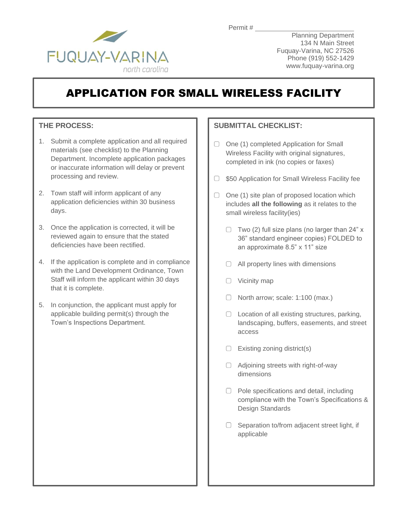

Planning Department 134 N Main Street Fuquay-Varina, NC 27526 Phone (919) 552-1429 www.fuquay-varina.org

# APPLICATION FOR SMALL WIRELESS FACILITY

### **THE PROCESS:**

- 1. Submit a complete application and all required materials (see checklist) to the Planning Department. Incomplete application packages or inaccurate information will delay or prevent processing and review.
- 2. Town staff will inform applicant of any application deficiencies within 30 business days.
- 3. Once the application is corrected, it will be reviewed again to ensure that the stated deficiencies have been rectified.
- 4. If the application is complete and in compliance with the Land Development Ordinance, Town Staff will inform the applicant within 30 days that it is complete.
- 5. In conjunction, the applicant must apply for applicable building permit(s) through the Town's Inspections Department.

### **SUBMITTAL CHECKLIST:**

- O One (1) completed Application for Small Wireless Facility with original signatures, completed in ink (no copies or faxes)
- $\Box$  \$50 Application for Small Wireless Facility fee
- $\Box$  One (1) site plan of proposed location which includes **all the following** as it relates to the small wireless facility(ies)
	- $\Box$  Two (2) full size plans (no larger than 24" x 36" standard engineer copies) FOLDED to an approximate 8.5" x 11" size
	- $\Box$  All property lines with dimensions
	- $\Box$  Vicinity map
	- $\Box$  North arrow; scale: 1:100 (max.)
	- $\Box$  Location of all existing structures, parking, landscaping, buffers, easements, and street access
	- $\Box$  Existing zoning district(s)
	- Adjoining streets with right-of-way dimensions
	- $\Box$  Pole specifications and detail, including compliance with the Town's Specifications & Design Standards
	- $\Box$  Separation to/from adjacent street light, if applicable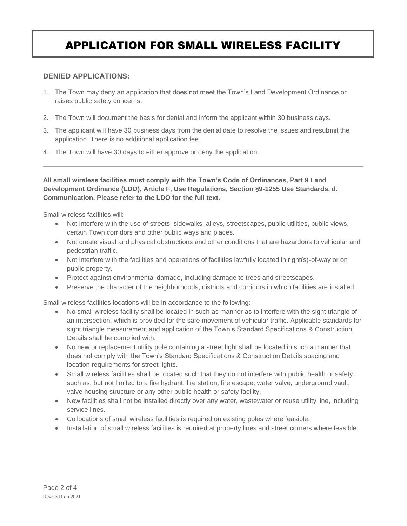# APPLICATION FOR SMALL WIRELESS FACILITY

### **DENIED APPLICATIONS:**

- 1. The Town may deny an application that does not meet the Town's Land Development Ordinance or raises public safety concerns.
- 2. The Town will document the basis for denial and inform the applicant within 30 business days.
- 3. The applicant will have 30 business days from the denial date to resolve the issues and resubmit the application. There is no additional application fee.
- 4. The Town will have 30 days to either approve or deny the application.

**All small wireless facilities must comply with the Town's Code of Ordinances, Part 9 Land Development Ordinance (LDO), Article F, Use Regulations, Section §9-1255 Use Standards, d. Communication. Please refer to the LDO for the full text.**

Small wireless facilities will:

- Not interfere with the use of streets, sidewalks, alleys, streetscapes, public utilities, public views, certain Town corridors and other public ways and places.
- Not create visual and physical obstructions and other conditions that are hazardous to vehicular and pedestrian traffic.
- Not interfere with the facilities and operations of facilities lawfully located in right(s)-of-way or on public property.
- Protect against environmental damage, including damage to trees and streetscapes.
- Preserve the character of the neighborhoods, districts and corridors in which facilities are installed.

Small wireless facilities locations will be in accordance to the following:

- No small wireless facility shall be located in such as manner as to interfere with the sight triangle of an intersection, which is provided for the safe movement of vehicular traffic. Applicable standards for sight triangle measurement and application of the Town's Standard Specifications & Construction Details shall be complied with.
- No new or replacement utility pole containing a street light shall be located in such a manner that does not comply with the Town's Standard Specifications & Construction Details spacing and location requirements for street lights.
- Small wireless facilities shall be located such that they do not interfere with public health or safety, such as, but not limited to a fire hydrant, fire station, fire escape, water valve, underground vault, valve housing structure or any other public health or safety facility.
- New facilities shall not be installed directly over any water, wastewater or reuse utility line, including service lines.
- Collocations of small wireless facilities is required on existing poles where feasible.
- Installation of small wireless facilities is required at property lines and street corners where feasible.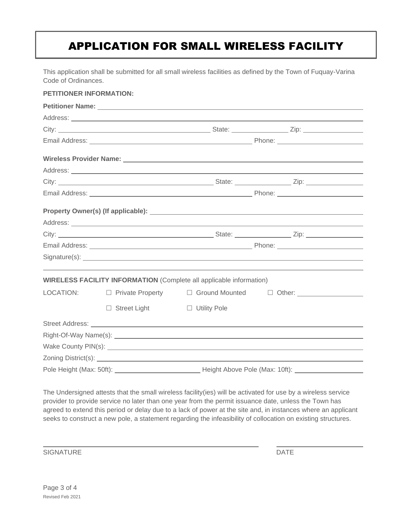# APPLICATION FOR SMALL WIRELESS FACILITY

This application shall be submitted for all small wireless facilities as defined by the Town of Fuquay-Varina Code of Ordinances.

#### **PETITIONER INFORMATION:**

| Petitioner Name: Later and the contract of the contract of the contract of the contract of the contract of the contract of the contract of the contract of the contract of the contract of the contract of the contract of the |                     |                                                                            |                                                                                  |
|--------------------------------------------------------------------------------------------------------------------------------------------------------------------------------------------------------------------------------|---------------------|----------------------------------------------------------------------------|----------------------------------------------------------------------------------|
|                                                                                                                                                                                                                                |                     |                                                                            |                                                                                  |
|                                                                                                                                                                                                                                |                     |                                                                            |                                                                                  |
|                                                                                                                                                                                                                                |                     |                                                                            |                                                                                  |
|                                                                                                                                                                                                                                |                     |                                                                            |                                                                                  |
|                                                                                                                                                                                                                                |                     |                                                                            |                                                                                  |
|                                                                                                                                                                                                                                |                     |                                                                            |                                                                                  |
|                                                                                                                                                                                                                                |                     |                                                                            |                                                                                  |
|                                                                                                                                                                                                                                |                     |                                                                            |                                                                                  |
|                                                                                                                                                                                                                                |                     |                                                                            |                                                                                  |
|                                                                                                                                                                                                                                |                     |                                                                            |                                                                                  |
|                                                                                                                                                                                                                                |                     |                                                                            |                                                                                  |
|                                                                                                                                                                                                                                |                     |                                                                            |                                                                                  |
|                                                                                                                                                                                                                                |                     | <b>WIRELESS FACILITY INFORMATION</b> (Complete all applicable information) |                                                                                  |
| LOCATION:                                                                                                                                                                                                                      |                     |                                                                            | □ Private Property □ Ground Mounted □ Other: ___________________________________ |
|                                                                                                                                                                                                                                | $\Box$ Street Light | □ Utility Pole                                                             |                                                                                  |
|                                                                                                                                                                                                                                |                     |                                                                            |                                                                                  |
|                                                                                                                                                                                                                                |                     |                                                                            |                                                                                  |
|                                                                                                                                                                                                                                |                     |                                                                            |                                                                                  |
|                                                                                                                                                                                                                                |                     |                                                                            |                                                                                  |
|                                                                                                                                                                                                                                |                     | Height Above Pole (Max: 10ft):                                             |                                                                                  |

The Undersigned attests that the small wireless facility(ies) will be activated for use by a wireless service provider to provide service no later than one year from the permit issuance date, unless the Town has agreed to extend this period or delay due to a lack of power at the site and, in instances where an applicant seeks to construct a new pole, a statement regarding the infeasibility of collocation on existing structures.

SIGNATURE DATE